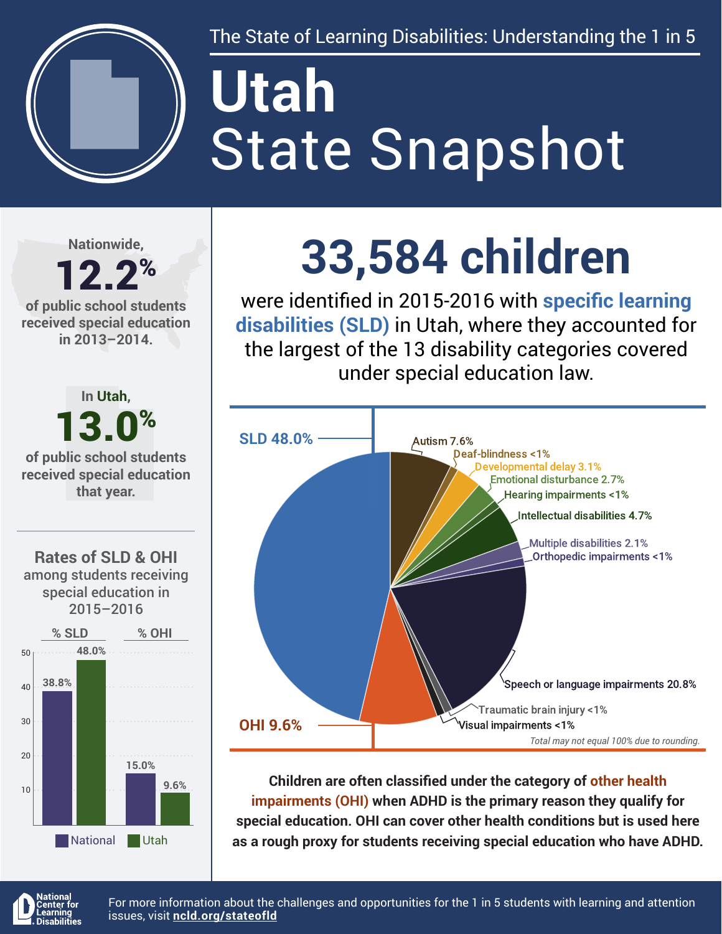

The State of Learning Disabilities: Understanding the 1 in 5

# State Snapshot **Utah**

**Nationwide,**

#### 12.2% **of public school students received special education in 2013–2014.**



## **33,584 children**

were identified in 2015-2016 with **specific learning disabilities (SLD)** in Utah, where they accounted for the largest of the 13 disability categories covered under special education law.



**Children are often classified under the category of other health impairments (OHI) when ADHD is the primary reason they qualify for special education. OHI can cover other health conditions but is used here as a rough proxy for students receiving special education who have ADHD.**



For more information about the challenges and opportunities for the 1 in 5 students with learning and attention issues, visit **[ncld.org/stateofld](http://ncld.org/stateofld)**